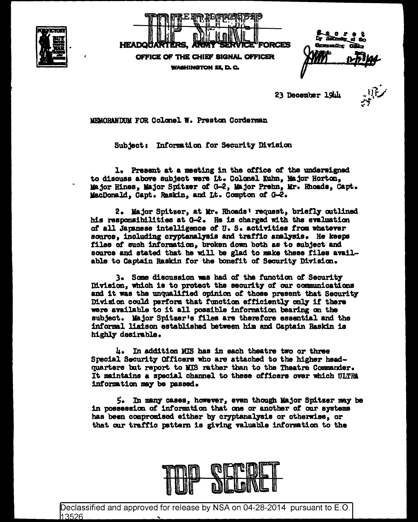



namatan i

23 December 19th

MEMORANDUM FOR Colonel W. Preston Corderman

Subject: Information for Security Division

1. Present at a meeting in the office of the undersigned to discuss above subject were Lt. Colonel Kuhn, Major Horton, Major Hines. Major Spitzer of G-2, Major Prehn, Mr. Rhoads, Capt. MacDonald, Capt. Raskin, and Lt. Compton of G-2.

2. Major Spitzer, at Mr. Rhoads' request, briefly outlined his responsibilities at G-2. He is charged with the evaluation of all Japanese intelligence of U.S. activities from whatever source, including cryptanalysis and traffic analysis. He keeps files of such information, broken down both as to subject and source and stated that he will be glad to make these files available to Captain Raskin for the bonefit of Security Division.

3. Some discussion was had of the function of Security Division, which is to protect the security of our communications and it was the unqualified opinion of those present that Security Division could perform that function efficiently only if there were available to it all possible information bearing on the subject. Major Spitzer's files are therefore essential and the informal liaison established between him and Captain Raskin is highly desirable.

4. In addition MIS has in each theatre two or three Special Security Officers who are attached to the higher headquarters but report to MIS rather than to the Theatre Commander. It maintains a special channel to these officers over which ULTRA information may be passed.

5. In many cases, however, even though Major Spitzer may be in possession of information that one or another of our systems has been compromised either by cryptanalysis or otherwise, or that our traffic pattern is giving valuable information to the



Declassified and approved for release by NSA on 04-28-2014 pursuant to E.O. 13526